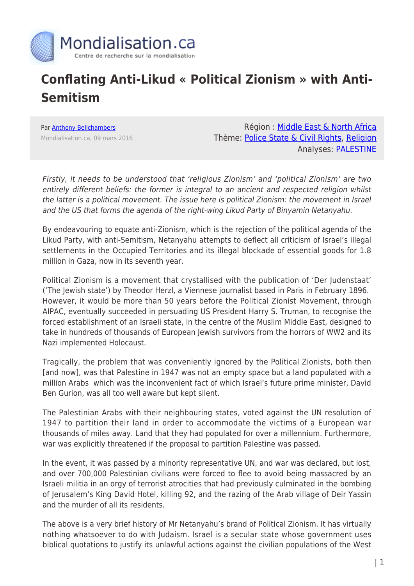

## **Conflating Anti-Likud « Political Zionism » with Anti-Semitism**

Par [Anthony Bellchambers](https://www.mondialisation.ca/author/bellchambers) Mondialisation.ca, 09 mars 2016

Région : [Middle East & North Africa](https://www.mondialisation.ca/region/middle-east) Thème: [Police State & Civil Rights](https://www.mondialisation.ca/theme/police-state-civil-rights), [Religion](https://www.mondialisation.ca/theme/politics-and-religion) Analyses: [PALESTINE](https://www.mondialisation.ca/indepthreport/palestine)

Firstly, it needs to be understood that 'religious Zionism' and 'political Zionism' are two entirely different beliefs: the former is integral to an ancient and respected religion whilst the latter is a political movement. The issue here is political Zionism: the movement in Israel and the US that forms the agenda of the right-wing Likud Party of Binyamin Netanyahu.

By endeavouring to equate anti-Zionism, which is the rejection of the political agenda of the Likud Party, with anti-Semitism, Netanyahu attempts to deflect all criticism of Israel's illegal settlements in the Occupied Territories and its illegal blockade of essential goods for 1.8 million in Gaza, now in its seventh year.

Political Zionism is a movement that crystallised with the publication of 'Der Judenstaat' ('The Jewish state') by Theodor Herzl, a Viennese journalist based in Paris in February 1896. However, it would be more than 50 years before the Political Zionist Movement, through AIPAC, eventually succeeded in persuading US President Harry S. Truman, to recognise the forced establishment of an Israeli state, in the centre of the Muslim Middle East, designed to take in hundreds of thousands of European Jewish survivors from the horrors of WW2 and its Nazi implemented Holocaust.

Tragically, the problem that was conveniently ignored by the Political Zionists, both then [and now], was that Palestine in 1947 was not an empty space but a land populated with a million Arabs which was the inconvenient fact of which Israel's future prime minister, David Ben Gurion, was all too well aware but kept silent.

The Palestinian Arabs with their neighbouring states, voted against the UN resolution of 1947 to partition their land in order to accommodate the victims of a European war thousands of miles away. Land that they had populated for over a millennium. Furthermore, war was explicitly threatened if the proposal to partition Palestine was passed.

In the event, it was passed by a minority representative UN, and war was declared, but lost, and over 700,000 Palestinian civilians were forced to flee to avoid being massacred by an Israeli militia in an orgy of terrorist atrocities that had previously culminated in the bombing of Jerusalem's King David Hotel, killing 92, and the razing of the Arab village of Deir Yassin and the murder of all its residents.

The above is a very brief history of Mr Netanyahu's brand of Political Zionism. It has virtually nothing whatsoever to do with Judaism. Israel is a secular state whose government uses biblical quotations to justify its unlawful actions against the civilian populations of the West